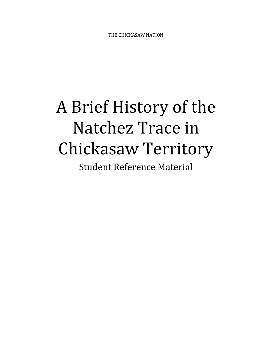THE CHICKASAW NATION

## A Brief History of the Natchez Trace in Chickasaw Territory

Student Reference Material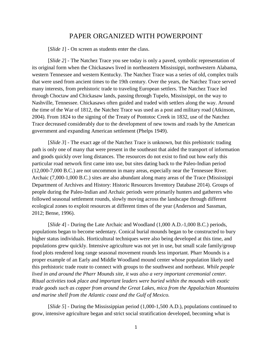## PAPER ORGANIZED WITH POWERPOINT

[*Slide 1*] - On screen as students enter the class.

[*Slide 2*] - The Natchez Trace you see today is only a paved, symbolic representation of its original form when the Chickasaws lived in northeastern Mississippi, northwestern Alabama, western Tennessee and western Kentucky. The Natchez Trace was a series of old, complex trails that were used from ancient times to the 19th century. Over the years, the Natchez Trace served many interests, from prehistoric trade to traveling European settlers. The Natchez Trace led through Choctaw and Chickasaw lands, passing through Tupelo, Mississippi, on the way to Nashville, Tennessee. Chickasaws often guided and traded with settlers along the way. Around the time of the War of 1812, the Natchez Trace was used as a post and military road (Atkinson, 2004). From 1824 to the signing of the Treaty of Pontotoc Creek in 1832, use of the Natchez Trace decreased considerably due to the development of new towns and roads by the American government and expanding American settlement (Phelps 1949).

[*Slide 3*] - The exact age of the Natchez Trace is unknown, but this prehistoric trading path is only one of many that were present in the southeast that aided the transport of information and goods quickly over long distances. The resources do not exist to find out how early this particular road network first came into use, but sites dating back to the Paleo-Indian period (12,000-7,000 B.C.) are not uncommon in many areas, especially near the Tennessee River. Archaic (7,000-1,000 B.C.) sites are also abundant along many areas of the Trace (Mississippi Department of Archives and History: Historic Resources Inventory Database 2014). Groups of people during the Paleo-Indian and Archaic periods were primarily hunters and gatherers who followed seasonal settlement rounds, slowly moving across the landscape through different ecological zones to exploit resources at different times of the year (Anderson and Sassman, 2012; Bense, 1996).

[*Slide 4*] - During the Late Archaic and Woodland (1,000 A.D.-1,000 B.C.) periods, populations began to become sedentary. Conical burial mounds began to be constructed to bury higher status individuals. Horticultural techniques were also being developed at this time, and populations grew quickly. Intensive agriculture was not yet in use, but small scale family/group food plots rendered long range seasonal movement rounds less important. Pharr Mounds is a proper example of an Early and Middle Woodland mound center whose population likely used this prehistoric trade route to connect with groups to the southwest and northeast. *While people lived in and around the Pharr Mounds site, it was also a very important ceremonial center. Ritual activities took place and important leaders were buried within the mounds with exotic trade goods such as copper from around the Great Lakes, mica from the Appalachian Mountains and marine shell from the Atlantic coast and the Gulf of Mexico.* 

[*Slide 5*] - During the Mississippian period (1,000-1,500 A.D.), populations continued to grow, intensive agriculture began and strict social stratification developed, becoming what is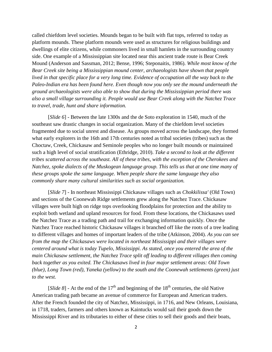called chiefdom level societies. Mounds began to be built with flat tops, referred to today as platform mounds. These platform mounds were used as structures for religious buildings and dwellings of elite citizens, while commoners lived in small hamlets in the surrounding country side. One example of a Mississippian site located near this ancient trade route is Bear Creek Mound (Anderson and Sassman, 2012; Bense, 1996; Steponaitis, 1986). *While most know of the Bear Creek site being a Mississippian mound center, archaeologists have shown that people lived in that specific place for a very long time. Evidence of occupation all the way back to the Paleo-Indian era has been found here. Even though now you only see the mound underneath the ground archaeologists were also able to show that during the Mississippian period there was also a small village surrounding it. People would use Bear Creek along with the Natchez Trace to travel, trade, hunt and share information.* 

[*Slide 6*] - Between the late 1300s and the de Soto exploration in 1540, much of the southeast saw drastic changes in social organization. Many of the chiefdom level societies fragmented due to social unrest and disease. As groups moved across the landscape, they formed what early explorers in the 16th and 17th centuries noted as tribal societies (tribes) such as the Choctaw, Creek, Chickasaw and Seminole peoples who no longer built mounds or maintained such a high level of social stratification (Ethridge, 2010). *Take a second to look at the different tribes scattered across the southeast. All of these tribes, with the exception of the Cherokees and Natchez, spoke dialects of the Muskogean language group. This tells us that at one time many of these groups spoke the same language. When people share the same language they also commonly share many cultural similarities such as social organization.*

[*Slide 7*] - In northeast Mississippi Chickasaw villages such as *Chokkilissa'* (Old Town) and sections of the Coonewah Ridge settlements grew along the Natchez Trace. Chickasaw villages were built high on ridge tops overlooking floodplains for protection and the ability to exploit both wetland and upland resources for food. From these locations, the Chickasaws used the Natchez Trace as a trading path and trail for exchanging information quickly. Once the Natchez Trace reached historic Chickasaw villages it branched off like the roots of a tree leading to different villages and homes of important leaders of the tribe (Atkinson, 2004). *As you can see from the map the Chickasaws were located in northeast Mississippi and their villages were centered around what is today Tupelo, Mississippi. As stated, once you entered the area of the main Chickasaw settlement, the Natchez Trace split off leading to different villages then coming back together as you exited. The Chickasaws lived in four major settlement areas: Old Town (blue), Long Town (red), Yaneka (yellow) to the south and the Coonewah settlements (green) just to the west.* 

[*Slide 8*] - At the end of the  $17<sup>th</sup>$  and beginning of the  $18<sup>th</sup>$  centuries, the old Native American trading path became an avenue of commerce for European and American traders. After the French founded the city of Natchez, Mississippi, in 1716, and New Orleans, Louisiana, in 1718, traders, farmers and others known as Kaintucks would sail their goods down the Mississippi River and its tributaries to either of these cities to sell their goods and their boats,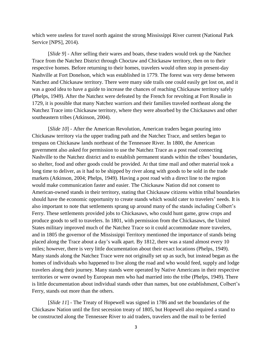which were useless for travel north against the strong Mississippi River current (National Park Service [NPS], 2014).

[*Slide 9*] - After selling their wares and boats, these traders would trek up the Natchez Trace from the Natchez District through Choctaw and Chickasaw territory, then on to their respective homes. Before returning to their homes, travelers would often stop in present-day Nashville at Fort Donelson, which was established in 1779. The forest was very dense between Natchez and Chickasaw territory. There were many side trails one could easily get lost on, and it was a good idea to have a guide to increase the chances of reaching Chickasaw territory safely (Phelps, 1949). After the Natchez were defeated by the French for revolting at Fort Rosalie in 1729, it is possible that many Natchez warriors and their families traveled northeast along the Natchez Trace into Chickasaw territory, where they were absorbed by the Chickasaws and other southeastern tribes (Atkinson, 2004).

[*Slide 10*] - After the American Revolution, American traders began pouring into Chickasaw territory via the upper trading path and the Natchez Trace, and settlers began to trespass on Chickasaw lands northeast of the Tennessee River. In 1800, the American government also asked for permission to use the Natchez Trace as a post road connecting Nashville to the Natchez district and to establish permanent stands within the tribes' boundaries, so shelter, food and other goods could be provided. At that time mail and other material took a long time to deliver, as it had to be shipped by river along with goods to be sold in the trade markets (Atkinson, 2004; Phelps, 1949). Having a post road with a direct line to the region would make communication faster and easier. The Chickasaw Nation did not consent to American-owned stands in their territory, stating that Chickasaw citizens within tribal boundaries should have the economic opportunity to create stands which would cater to travelers' needs. It is also important to note that settlements sprang up around many of the stands including Colbert's Ferry. These settlements provided jobs to Chickasaws, who could hunt game, grow crops and produce goods to sell to travelers. In 1801, with permission from the Chickasaws, the United States military improved much of the Natchez Trace so it could accommodate more travelers, and in 1805 the governor of the Mississippi Territory mentioned the importance of stands being placed along the Trace about a day's walk apart. By 1812, there was a stand almost every 10 miles; however, there is very little documentation about their exact locations (Phelps, 1949). Many stands along the Natchez Trace were not originally set up as such, but instead began as the homes of individuals who happened to live along the road and who would feed, supply and lodge travelers along their journey. Many stands were operated by Native Americans in their respective territories or were owned by European men who had married into the tribe (Phelps, 1949). There is little documentation about individual stands other than names, but one establishment, Colbert's Ferry, stands out more than the others.

[*Slide 11*] - The Treaty of Hopewell was signed in 1786 and set the boundaries of the Chickasaw Nation until the first secession treaty of 1805, but Hopewell also required a stand to be constructed along the Tennessee River to aid traders, travelers and the mail to be ferried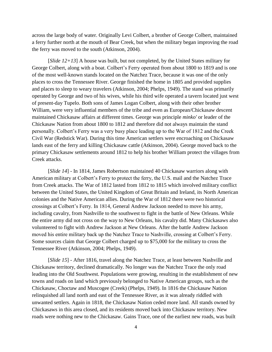across the large body of water. Originally Levi Colbert, a brother of George Colbert, maintained a ferry further north at the mouth of Bear Creek, but when the military began improving the road the ferry was moved to the south (Atkinson, 2004).

[*Slide 12+13*] A house was built, but not completed, by the United States military for George Colbert, along with a boat. Colbert's Ferry operated from about 1800 to 1819 and is one of the most well-known stands located on the Natchez Trace, because it was one of the only places to cross the Tennessee River. George finished the home in 1805 and provided supplies and places to sleep to weary travelers (Atkinson, 2004; Phelps, 1949). The stand was primarily operated by George and two of his wives, while his third wife operated a tavern located just west of present-day Tupelo. Both sons of James Logan Colbert, along with their other brother William, were very influential members of the tribe and even as European/Chickasaw descent maintained Chickasaw affairs at different times. George was principle *minko'* or leader of the Chickasaw Nation from about 1800 to 1812 and therefore did not always maintain the stand personally. Colbert's Ferry was a very busy place leading up to the War of 1812 and the Creek Civil War (Redstick War). During this time American settlers were encroaching on Chickasaw lands east of the ferry and killing Chickasaw cattle (Atkinson, 2004). George moved back to the primary Chickasaw settlements around 1812 to help his brother William protect the villages from Creek attacks.

[*Slide 14*] - In 1814, James Robertson maintained 40 Chickasaw warriors along with American military at Colbert's Ferry to protect the ferry, the U.S. mail and the Natchez Trace from Creek attacks. The War of 1812 lasted from 1812 to 1815 which involved military conflict between the United States, the United Kingdom of Great Britain and Ireland, its North American colonies and the Native American allies. During the War of 1812 there were two historical crossings at Colbert's Ferry. In 1814, General Andrew Jackson needed to move his army, including cavalry, from Nashville to the southwest to fight in the battle of New Orleans. While the entire army did not cross on the way to New Orleans, his cavalry did. Many Chickasaws also volunteered to fight with Andrew Jackson at New Orleans. After the battle Andrew Jackson moved his entire military back up the Natchez Trace to Nashville, crossing at Colbert's Ferry. Some sources claim that George Colbert charged up to \$75,000 for the military to cross the Tennessee River (Atkinson, 2004; Phelps, 1949).

[*Slide 15*] - After 1816, travel along the Natchez Trace, at least between Nashville and Chickasaw territory, declined dramatically. No longer was the Natchez Trace the only road leading into the Old Southwest. Populations were growing, resulting in the establishment of new towns and roads on land which previously belonged to Native American groups, such as the Chickasaw, Choctaw and Muscogee (Creek) (Phelps, 1949). In 1816 the Chickasaw Nation relinquished all land north and east of the Tennessee River, as it was already riddled with unwanted settlers. Again in 1818, the Chickasaw Nation ceded more land. All stands owned by Chickasaws in this area closed, and its residents moved back into Chickasaw territory. New roads were nothing new to the Chickasaw. Gains Trace, one of the earliest new roads, was built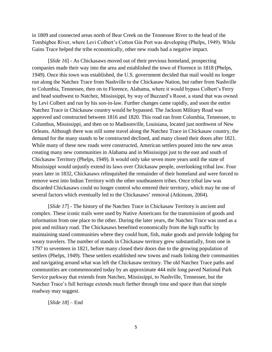in 1809 and connected areas north of Bear Creek on the Tennessee River to the head of the Tombigbee River, where Levi Colbert's Cotton Gin Port was developing (Phelps, 1949). While Gains Trace helped the tribe economically, other new roads had a negative impact.

[*Slide 16*] - As Chickasaws moved out of their previous homeland, prospecting companies made their way into the area and established the town of Florence in 1818 (Phelps, 1949). Once this town was established, the U.S. government decided that mail would no longer run along the Natchez Trace from Nashville to the Chickasaw Nation, but rather from Nashville to Columbia, Tennessee, then on to Florence, Alabama, where it would bypass Colbert's Ferry and head southwest to Natchez, Mississippi, by way of Buzzard's Roost, a stand that was owned by Levi Colbert and run by his son-in-law. Further changes came rapidly, and soon the entire Natchez Trace in Chickasaw country would be bypassed. The Jackson Military Road was approved and constructed between 1816 and 1820. This road ran from Columbia, Tennessee, to Columbus, Mississippi, and then on to Madisonville, Louisiana, located just northwest of New Orleans. Although there was still some travel along the Natchez Trace in Chickasaw country, the demand for the many stands to be constructed declined, and many closed their doors after 1821. While many of these new roads were constructed, American settlers poured into the new areas creating many new communities in Alabama and in Mississippi just to the east and south of Chickasaw Territory (Phelps, 1949). It would only take seven more years until the state of Mississippi would unjustly extend its laws over Chickasaw people, overlooking tribal law. Four years later in 1832, Chickasaws relinquished the remainder of their homeland and were forced to remove west into Indian Territory with the other southeastern tribes. Once tribal law was discarded Chickasaws could no longer control who entered their territory, which may be one of several factors which eventually led to the Chickasaws' removal (Atkinson, 2004).

[*Slide 17*] - The history of the Natchez Trace in Chickasaw Territory is ancient and complex. These iconic trails were used by Native Americans for the transmission of goods and information from one place to the other. During the later years, the Natchez Trace was used as a post and military road. The Chickasaws benefited economically from the high traffic by maintaining stand communities where they could hunt, fish, make goods and provide lodging for weary travelers. The number of stands in Chickasaw territory grew substantially, from one in 1797 to seventeen in 1821, before many closed their doors due to the growing population of settlers (Phelps, 1949). These settlers established new towns and roads linking their communities and navigating around what was left the Chickasaw territory. The old Natchez Trace paths and communities are commemorated today by an approximate 444 mile long paved National Park Service parkway that extends from Natchez, Mississippi, to Nashville, Tennessee, but the Natchez Trace's full heritage extends much farther through time and space than that simple roadway may suggest.

[*Slide 18*] – End